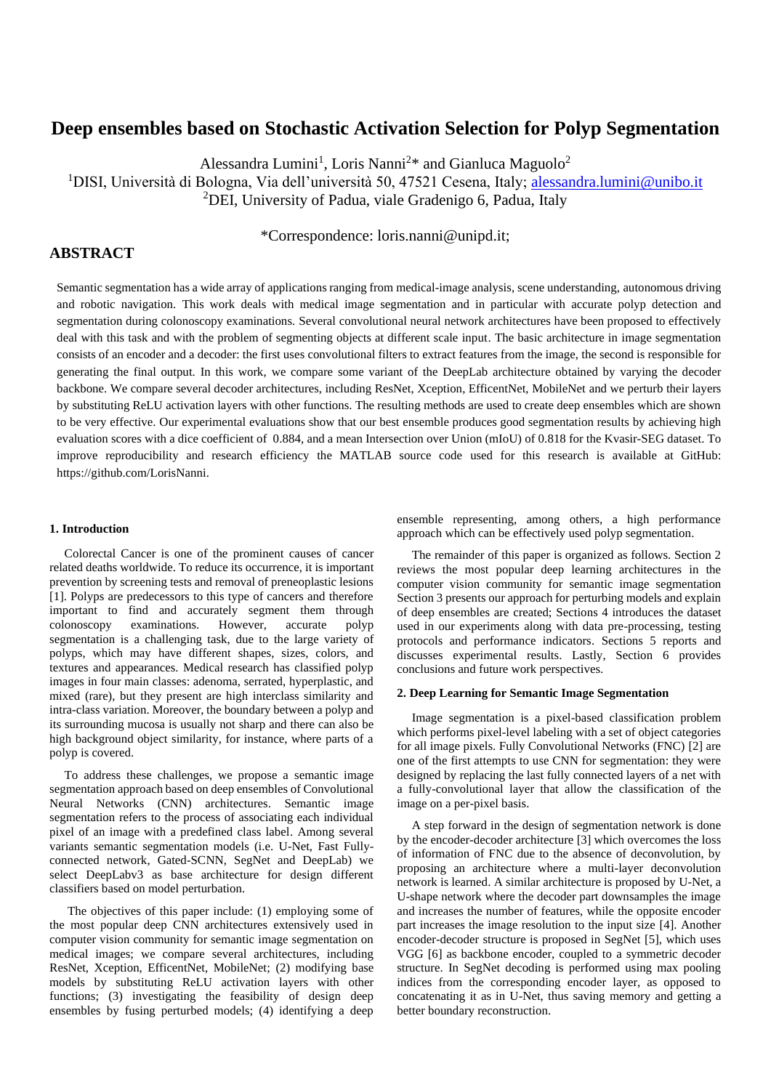# **Deep ensembles based on Stochastic Activation Selection for Polyp Segmentation**

Alessandra Lumini<sup>1</sup>, Loris Nanni<sup>2\*</sup> and Gianluca Maguolo<sup>2</sup>

<sup>1</sup>DISI, Università di Bologna, Via dell'università 50, 47521 Cesena, Italy; [alessandra.lumini@unibo.it](mailto:alessandra.lumini@unibo.it)

<sup>2</sup>DEI, University of Padua, viale Gradenigo 6, Padua, Italy

# **ABSTRACT**

# \*Correspondence: loris.nanni@unipd.it;

Semantic segmentation has a wide array of applications ranging from medical-image analysis, scene understanding, autonomous driving and robotic navigation. This work deals with medical image segmentation and in particular with accurate polyp detection and segmentation during colonoscopy examinations. Several convolutional neural network architectures have been proposed to effectively deal with this task and with the problem of segmenting objects at different scale input. The basic architecture in image segmentation consists of an encoder and a decoder: the first uses convolutional filters to extract features from the image, the second is responsible for generating the final output. In this work, we compare some variant of the DeepLab architecture obtained by varying the decoder backbone. We compare several decoder architectures, including ResNet, Xception, EfficentNet, MobileNet and we perturb their layers by substituting ReLU activation layers with other functions. The resulting methods are used to create deep ensembles which are shown to be very effective. Our experimental evaluations show that our best ensemble produces good segmentation results by achieving high evaluation scores with a dice coefficient of 0.884, and a mean Intersection over Union (mIoU) of 0.818 for the Kvasir-SEG dataset. To improve reproducibility and research efficiency the MATLAB source code used for this research is available at GitHub: [https://github.com/LorisNanni.](https://github.com/LorisNanni)

# **1. Introduction**

Colorectal Cancer is one of the prominent causes of cancer related deaths worldwide. To reduce its occurrence, it is important prevention by screening tests and removal of preneoplastic lesions [1]. Polyps are predecessors to this type of cancers and therefore important to find and accurately segment them through colonoscopy examinations. However, accurate polyp segmentation is a challenging task, due to the large variety of polyps, which may have different shapes, sizes, colors, and textures and appearances. Medical research has classified polyp images in four main classes: adenoma, serrated, hyperplastic, and mixed (rare), but they present are high interclass similarity and intra-class variation. Moreover, the boundary between a polyp and its surrounding mucosa is usually not sharp and there can also be high background object similarity, for instance, where parts of a polyp is covered.

To address these challenges, we propose a semantic image segmentation approach based on deep ensembles of Convolutional Neural Networks (CNN) architectures. Semantic image segmentation refers to the process of associating each individual pixel of an image with a predefined class label. Among several variants semantic segmentation models (i.e. U-Net, Fast Fullyconnected network, Gated-SCNN, SegNet and DeepLab) we select DeepLabv3 as base architecture for design different classifiers based on model perturbation.

The objectives of this paper include: (1) employing some of the most popular deep CNN architectures extensively used in computer vision community for semantic image segmentation on medical images; we compare several architectures, including ResNet, Xception, EfficentNet, MobileNet; (2) modifying base models by substituting ReLU activation layers with other functions; (3) investigating the feasibility of design deep ensembles by fusing perturbed models; (4) identifying a deep ensemble representing, among others, a high performance approach which can be effectively used polyp segmentation.

The remainder of this paper is organized as follows. Section 2 reviews the most popular deep learning architectures in the computer vision community for semantic image segmentation Section 3 presents our approach for perturbing models and explain of deep ensembles are created; Sections 4 introduces the dataset used in our experiments along with data pre-processing, testing protocols and performance indicators. Sections 5 reports and discusses experimental results. Lastly, Section 6 provides conclusions and future work perspectives.

# **2. Deep Learning for Semantic Image Segmentation**

Image segmentation is a pixel-based classification problem which performs pixel-level labeling with a set of object categories for all image pixels. Fully Convolutional Networks (FNC) [2] are one of the first attempts to use CNN for segmentation: they were designed by replacing the last fully connected layers of a net with a fully-convolutional layer that allow the classification of the image on a per-pixel basis.

A step forward in the design of segmentation network is done by the encoder-decoder architecture [3] which overcomes the loss of information of FNC due to the absence of deconvolution, by proposing an architecture where a multi-layer deconvolution network is learned. A similar architecture is proposed by U-Net, a U-shape network where the decoder part downsamples the image and increases the number of features, while the opposite encoder part increases the image resolution to the input size [4]. Another encoder-decoder structure is proposed in SegNet [5], which uses VGG [6] as backbone encoder, coupled to a symmetric decoder structure. In SegNet decoding is performed using max pooling indices from the corresponding encoder layer, as opposed to concatenating it as in U-Net, thus saving memory and getting a better boundary reconstruction.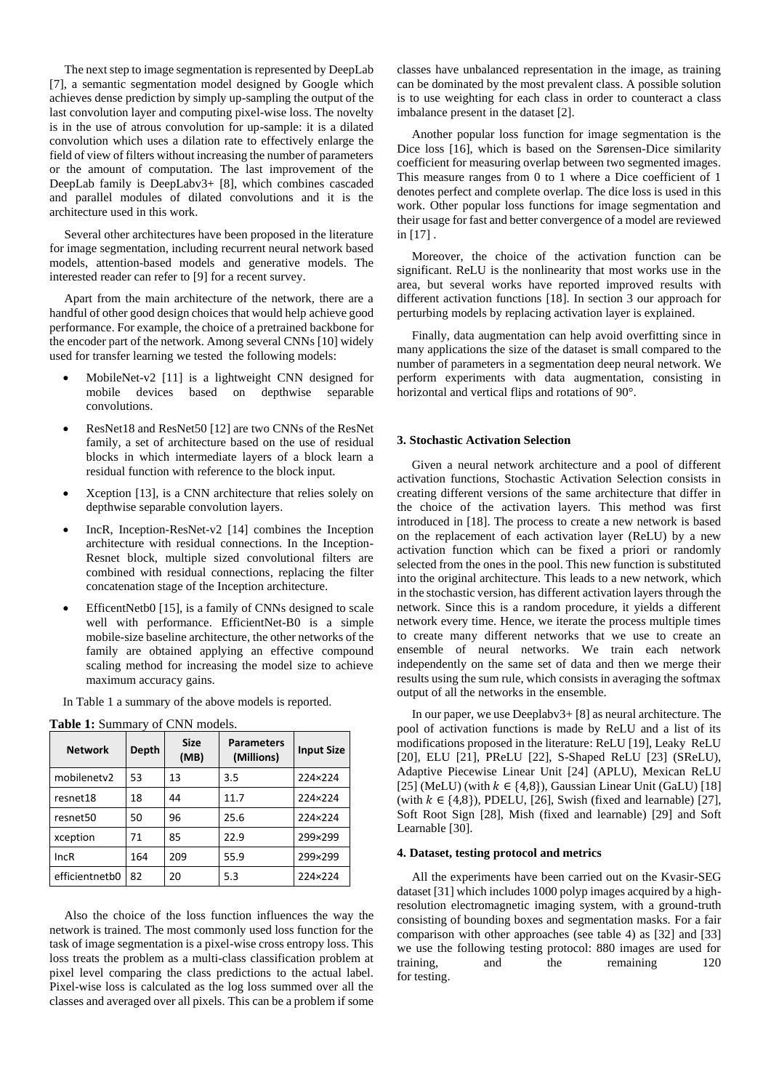The next step to image segmentation is represented by DeepLab [7], a semantic segmentation model designed by Google which achieves dense prediction by simply up-sampling the output of the last convolution layer and computing pixel-wise loss. The novelty is in the use of atrous convolution for up-sample: it is a dilated convolution which uses a dilation rate to effectively enlarge the field of view of filters without increasing the number of parameters or the amount of computation. The last improvement of the DeepLab family is DeepLabv3+ [8], which combines cascaded and parallel modules of dilated convolutions and it is the architecture used in this work.

Several other architectures have been proposed in the literature for image segmentation, including recurrent neural network based models, attention-based models and generative models. The interested reader can refer to [9] for a recent survey.

Apart from the main architecture of the network, there are a handful of other good design choices that would help achieve good performance. For example, the choice of a pretrained backbone for the encoder part of the network. Among several CNNs [10] widely used for transfer learning we tested the following models:

- MobileNet-v2 [11] is a lightweight CNN designed for mobile devices based on depthwise separable convolutions.
- ResNet18 and ResNet50 [12] are two CNNs of the ResNet family, a set of architecture based on the use of residual blocks in which intermediate layers of a block learn a residual function with reference to the block input.
- Xception [13], is a CNN architecture that relies solely on depthwise separable convolution layers.
- IncR, Inception-ResNet-v2 [14] combines the Inception architecture with residual connections. In the Inception-Resnet block, multiple sized convolutional filters are combined with residual connections, replacing the filter concatenation stage of the Inception architecture.
- EfficentNetb0 [15], is a family of CNNs designed to scale well with performance. EfficientNet-B0 is a simple mobile-size baseline architecture, the other networks of the family are obtained applying an effective compound scaling method for increasing the model size to achieve maximum accuracy gains.

|  | In Table 1 a summary of the above models is reported. |  |  |  |
|--|-------------------------------------------------------|--|--|--|
|--|-------------------------------------------------------|--|--|--|

| <b>Network</b>       | Depth | <b>Size</b><br>(MB) | <b>Parameters</b><br>(Millions) | <b>Input Size</b> |
|----------------------|-------|---------------------|---------------------------------|-------------------|
| mobilenetv2          | 53    | 13                  | 3.5                             | 224×224           |
| resnet18             | 18    | 44                  | 11.7                            | 224×224           |
| resnet <sub>50</sub> | 50    | 96                  | 25.6                            | 224×224           |
| xception             | 71    | 85                  | 22.9                            | 299×299           |
| IncR                 | 164   | 209                 | 55.9                            | 299×299           |
| efficientnetb0       | 82    | 20                  | 5.3                             | 224×224           |

<span id="page-1-0"></span>**Table 1:** Summary of CNN models.

Also the choice of the loss function influences the way the network is trained. The most commonly used loss function for the task of image segmentation is a pixel-wise cross entropy loss. This loss treats the problem as a multi-class classification problem at pixel level comparing the class predictions to the actual label. Pixel-wise loss is calculated as the log loss summed over all the classes and averaged over all pixels. This can be a problem if some

classes have unbalanced representation in the image, as training can be dominated by the most prevalent class. A possible solution is to use weighting for each class in order to counteract a class imbalance present in the dataset [2].

Another popular loss function for image segmentation is the Dice loss [16], which is based on the Sørensen-Dice similarity coefficient for measuring overlap between two segmented images. This measure ranges from 0 to 1 where a Dice coefficient of 1 denotes perfect and complete overlap. The dice loss is used in this work. Other popular loss functions for image segmentation and their usage for fast and better convergence of a model are reviewed in [17] .

Moreover, the choice of the activation function can be significant. ReLU is the nonlinearity that most works use in the area, but several works have reported improved results with different activation functions [18]. In section 3 our approach for perturbing models by replacing activation layer is explained.

Finally, data augmentation can help avoid overfitting since in many applications the size of the dataset is small compared to the number of parameters in a segmentation deep neural network. We perform experiments with data augmentation, consisting in horizontal and vertical flips and rotations of 90°.

#### **3. Stochastic Activation Selection**

Given a neural network architecture and a pool of different activation functions, Stochastic Activation Selection consists in creating different versions of the same architecture that differ in the choice of the activation layers. This method was first introduced in [18]. The process to create a new network is based on the replacement of each activation layer (ReLU) by a new activation function which can be fixed a priori or randomly selected from the ones in the pool. This new function is substituted into the original architecture. This leads to a new network, which in the stochastic version, has different activation layers through the network. Since this is a random procedure, it yields a different network every time. Hence, we iterate the process multiple times to create many different networks that we use to create an ensemble of neural networks. We train each network independently on the same set of data and then we merge their results using the sum rule, which consists in averaging the softmax output of all the networks in the ensemble.

In our paper, we use Deeplabv3+ [8] as neural architecture. The pool of activation functions is made by ReLU and a list of its modifications proposed in the literature: ReLU [19], Leaky ReLU [20], ELU [21], PReLU [22], S-Shaped ReLU [23] (SReLU), Adaptive Piecewise Linear Unit [24] (APLU), Mexican ReLU [25] (MeLU) (with  $k \in \{4, 8\}$ ), Gaussian Linear Unit (GaLU) [18] (with  $k \in \{4, 8\}$ ), PDELU, [26], Swish (fixed and learnable) [27], Soft Root Sign [28], Mish (fixed and learnable) [29] and Soft Learnable [30].

#### **4. Dataset, testing protocol and metrics**

All the experiments have been carried out on the Kvasir-SEG dataset [31] which includes 1000 polyp images acquired by a highresolution electromagnetic imaging system, with a ground-truth consisting of bounding boxes and segmentation masks. For a fair comparison with other approaches (see table 4) as [32] and [33] we use the following testing protocol: 880 images are used for training, and the remaining 120 for testing.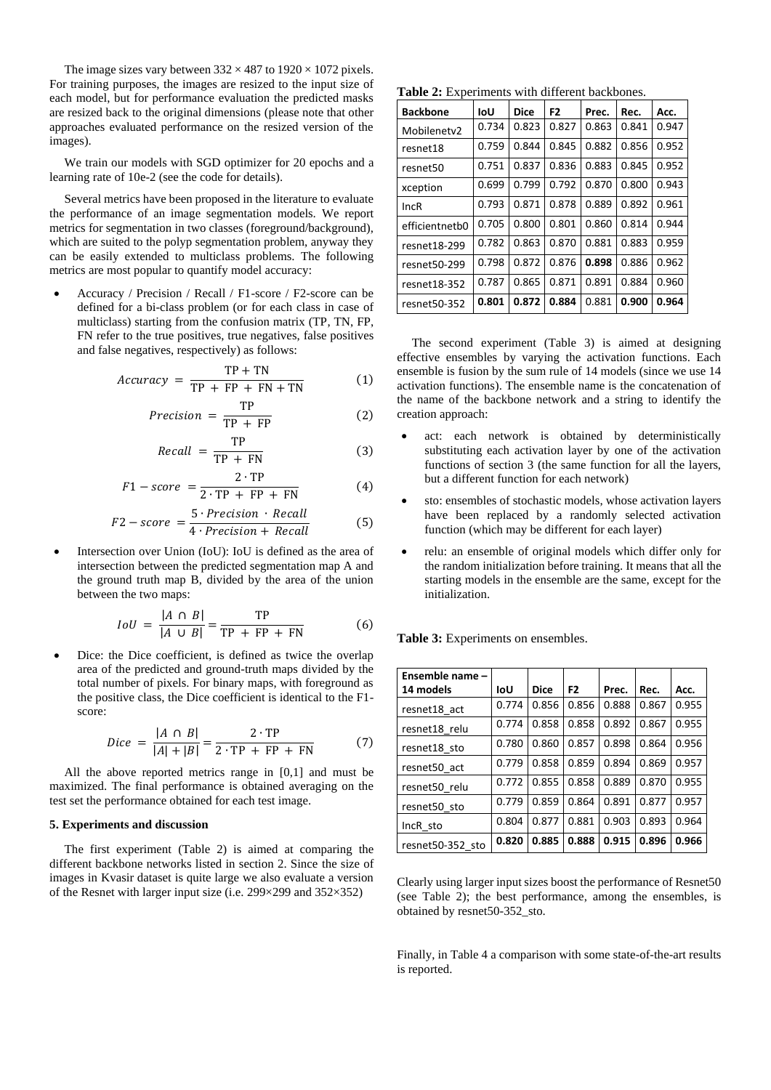The image sizes vary between  $332 \times 487$  to  $1920 \times 1072$  pixels. For training purposes, the images are resized to the input size of each model, but for performance evaluation the predicted masks are resized back to the original dimensions (please note that other approaches evaluated performance on the resized version of the images).

We train our models with SGD optimizer for 20 epochs and a learning rate of 10e-2 (see the code for details).

Several metrics have been proposed in the literature to evaluate the performance of an image segmentation models. We report metrics for segmentation in two classes (foreground/background), which are suited to the polyp segmentation problem, anyway they can be easily extended to multiclass problems. The following metrics are most popular to quantify model accuracy:

• Accuracy / Precision / Recall / F1-score / F2-score can be defined for a bi-class problem (or for each class in case of multiclass) starting from the confusion matrix (TP, TN, FP, FN refer to the true positives, true negatives, false positives and false negatives, respectively) as follows:

$$
Accuracy = \frac{TP + TN}{TP + FP + FN + TN}
$$
 (1)

$$
Precision = \frac{TP}{TP + FP}
$$
 (2)

$$
Recall = \frac{TP}{TP + FN}
$$
 (3)

$$
F1-score = \frac{2 \cdot TP}{2 \cdot TP + FP + FN}
$$
 (4)

$$
F2-score = \frac{5 \cdot Precision \cdot Recall}{4 \cdot Precision + Recall}
$$
 (5)

• Intersection over Union (IoU): IoU is defined as the area of intersection between the predicted segmentation map A and the ground truth map B, divided by the area of the union between the two maps:

$$
IoU = \frac{|A \cap B|}{|A \cup B|} = \frac{TP}{TP + FP + FN}
$$
 (6)

Dice: the Dice coefficient, is defined as twice the overlap area of the predicted and ground-truth maps divided by the total number of pixels. For binary maps, with foreground as the positive class, the Dice coefficient is identical to the F1 score:

$$
Dice = \frac{|A \cap B|}{|A| + |B|} = \frac{2 \cdot TP}{2 \cdot TP + FP + FN}
$$
 (7)

All the above reported metrics range in [0,1] and must be maximized. The final performance is obtained averaging on the test set the performance obtained for each test image.

### **5. Experiments and discussion**

The first experiment [\(Table 2\)](#page-2-0) is aimed at comparing the different backbone networks listed in section 2. Since the size of images in Kvasir dataset is quite large we also evaluate a version of the Resnet with larger input size (i.e. 299×299 and 352×352)

<span id="page-2-0"></span>**Table 2:** Experiments with different backbones.

| <b>Backbone</b> | loU   | <b>Dice</b> | F2    | Prec. | Rec.  | Acc.  |
|-----------------|-------|-------------|-------|-------|-------|-------|
| Mobilenety2     | 0.734 | 0.823       | 0.827 | 0.863 | 0.841 | 0.947 |
| resnet18        | 0.759 | 0.844       | 0.845 | 0.882 | 0.856 | 0.952 |
| resnet50        | 0.751 | 0.837       | 0.836 | 0.883 | 0.845 | 0.952 |
| xception        | 0.699 | 0.799       | 0.792 | 0.870 | 0.800 | 0.943 |
| IncR            | 0.793 | 0.871       | 0.878 | 0.889 | 0.892 | 0.961 |
| efficientnetb0  | 0.705 | 0.800       | 0.801 | 0.860 | 0.814 | 0.944 |
| resnet18-299    | 0.782 | 0.863       | 0.870 | 0.881 | 0.883 | 0.959 |
| resnet50-299    | 0.798 | 0.872       | 0.876 | 0.898 | 0.886 | 0.962 |
| resnet18-352    | 0.787 | 0.865       | 0.871 | 0.891 | 0.884 | 0.960 |
| resnet50-352    | 0.801 | 0.872       | 0.884 | 0.881 | 0.900 | 0.964 |

The second experiment [\(Table 3\)](#page-2-1) is aimed at designing effective ensembles by varying the activation functions. Each ensemble is fusion by the sum rule of 14 models (since we use 14 activation functions). The ensemble name is the concatenation of the name of the backbone network and a string to identify the creation approach:

- act: each network is obtained by deterministically substituting each activation layer by one of the activation functions of section 3 (the same function for all the layers, but a different function for each network)
- sto: ensembles of stochastic models, whose activation layers have been replaced by a randomly selected activation function (which may be different for each layer)
- relu: an ensemble of original models which differ only for the random initialization before training. It means that all the starting models in the ensemble are the same, except for the initialization.

<span id="page-2-1"></span>**Table 3:** Experiments on ensembles.

| Ensemble name -  |       |             |                |       |       |       |
|------------------|-------|-------------|----------------|-------|-------|-------|
| 14 models        | loU   | <b>Dice</b> | F <sub>2</sub> | Prec. | Rec.  | Acc.  |
| resnet18 act     | 0.774 | 0.856       | 0.856          | 0.888 | 0.867 | 0.955 |
| resnet18 relu    | 0.774 | 0.858       | 0.858          | 0.892 | 0.867 | 0.955 |
| resnet18 sto     | 0.780 | 0.860       | 0.857          | 0.898 | 0.864 | 0.956 |
| resnet50 act     | 0.779 | 0.858       | 0.859          | 0.894 | 0.869 | 0.957 |
| resnet50 relu    | 0.772 | 0.855       | 0.858          | 0.889 | 0.870 | 0.955 |
| resnet50 sto     | 0.779 | 0.859       | 0.864          | 0.891 | 0.877 | 0.957 |
| IncR sto         | 0.804 | 0.877       | 0.881          | 0.903 | 0.893 | 0.964 |
| resnet50-352 sto | 0.820 | 0.885       | 0.888          | 0.915 | 0.896 | 0.966 |

Clearly using larger input sizes boost the performance of Resnet50 (see Table 2); the best performance, among the ensembles, is obtained by resnet50-352\_sto.

Finally, in Table 4 a comparison with some state-of-the-art results is reported.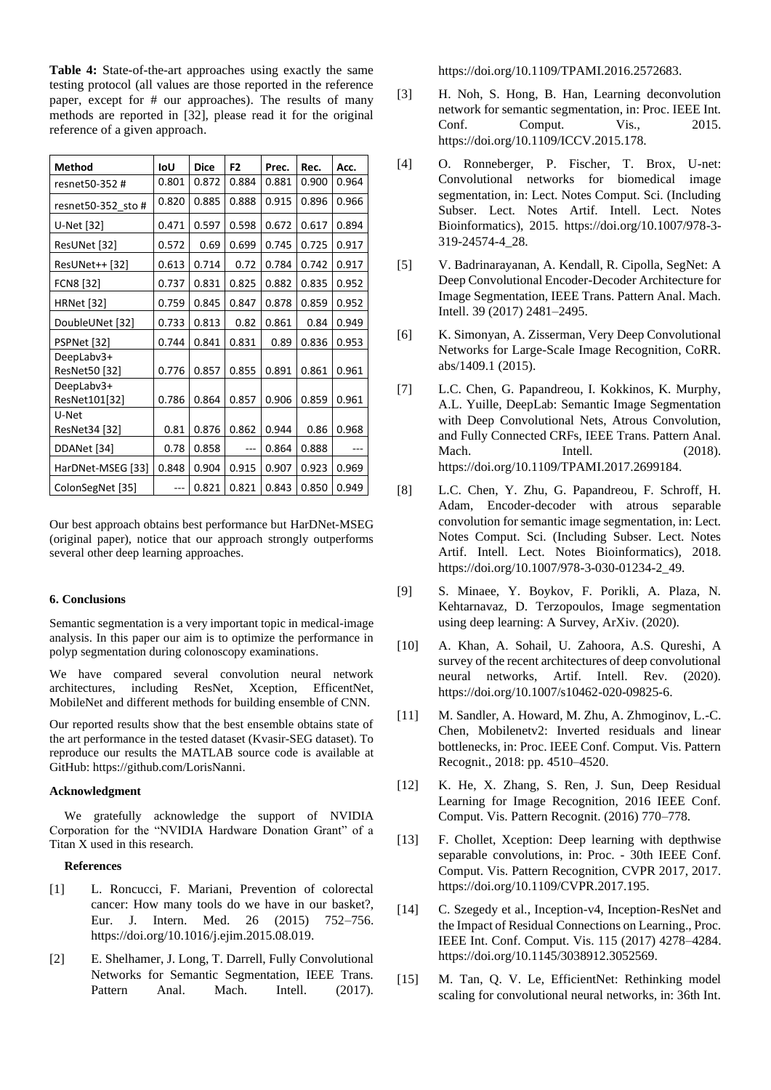**Table 4:** State-of-the-art approaches using exactly the same testing protocol (all values are those reported in the reference paper, except for # our approaches). The results of many methods are reported in [32], please read it for the original reference of a given approach.

| <b>Method</b>      | IoU   | <b>Dice</b> | F <sub>2</sub> | Prec. | Rec.  | Acc.  |
|--------------------|-------|-------------|----------------|-------|-------|-------|
| resnet50-352 #     | 0.801 | 0.872       | 0.884          | 0.881 | 0.900 | 0.964 |
| resnet50-352 sto # | 0.820 | 0.885       | 0.888          | 0.915 | 0.896 | 0.966 |
| U-Net [32]         | 0.471 | 0.597       | 0.598          | 0.672 | 0.617 | 0.894 |
| ResUNet [32]       | 0.572 | 0.69        | 0.699          | 0.745 | 0.725 | 0.917 |
| ResUNet++ [32]     | 0.613 | 0.714       | 0.72           | 0.784 | 0.742 | 0.917 |
| <b>FCN8 [32]</b>   | 0.737 | 0.831       | 0.825          | 0.882 | 0.835 | 0.952 |
| <b>HRNet</b> [32]  | 0.759 | 0.845       | 0.847          | 0.878 | 0.859 | 0.952 |
| DoubleUNet [32]    | 0.733 | 0.813       | 0.82           | 0.861 | 0.84  | 0.949 |
| PSPNet [32]        | 0.744 | 0.841       | 0.831          | 0.89  | 0.836 | 0.953 |
| DeepLabv3+         |       |             |                |       |       |       |
| ResNet50 [32]      | 0.776 | 0.857       | 0.855          | 0.891 | 0.861 | 0.961 |
| DeepLabv3+         |       |             |                |       |       |       |
| ResNet101[32]      | 0.786 | 0.864       | 0.857          | 0.906 | 0.859 | 0.961 |
| U-Net              |       |             |                |       |       |       |
| ResNet34 [32]      | 0.81  | 0.876       | 0.862          | 0.944 | 0.86  | 0.968 |
| DDANet [34]        | 0.78  | 0.858       |                | 0.864 | 0.888 |       |
| HarDNet-MSEG [33]  | 0.848 | 0.904       | 0.915          | 0.907 | 0.923 | 0.969 |
| ColonSegNet [35]   | ---   | 0.821       | 0.821          | 0.843 | 0.850 | 0.949 |

Our best approach obtains best performance but HarDNet-MSEG (original paper), notice that our approach strongly outperforms several other deep learning approaches.

# **6. Conclusions**

Semantic segmentation is a very important topic in medical-image analysis. In this paper our aim is to optimize the performance in polyp segmentation during colonoscopy examinations.

We have compared several convolution neural network architectures, including ResNet, Xception, EfficentNet, MobileNet and different methods for building ensemble of CNN.

Our reported results show that the best ensemble obtains state of the art performance in the tested dataset (Kvasir-SEG dataset). To reproduce our results the MATLAB source code is available at GitHub: [https://github.com/LorisNanni.](https://github.com/LorisNanni)

### **Acknowledgment**

We gratefully acknowledge the support of NVIDIA Corporation for the "NVIDIA Hardware Donation Grant" of a Titan X used in this research.

#### **References**

- [1] L. Roncucci, F. Mariani, Prevention of colorectal cancer: How many tools do we have in our basket?, Eur. J. Intern. Med. 26 (2015) 752–756. https://doi.org/10.1016/j.ejim.2015.08.019.
- [2] E. Shelhamer, J. Long, T. Darrell, Fully Convolutional Networks for Semantic Segmentation, IEEE Trans. Pattern Anal. Mach. Intell. (2017).

https://doi.org/10.1109/TPAMI.2016.2572683.

- [3] H. Noh, S. Hong, B. Han, Learning deconvolution network for semantic segmentation, in: Proc. IEEE Int. Conf. Comput. Vis., 2015. https://doi.org/10.1109/ICCV.2015.178.
- [4] O. Ronneberger, P. Fischer, T. Brox, U-net: Convolutional networks for biomedical image segmentation, in: Lect. Notes Comput. Sci. (Including Subser. Lect. Notes Artif. Intell. Lect. Notes Bioinformatics), 2015. https://doi.org/10.1007/978-3- 319-24574-4\_28.
- [5] V. Badrinarayanan, A. Kendall, R. Cipolla, SegNet: A Deep Convolutional Encoder-Decoder Architecture for Image Segmentation, IEEE Trans. Pattern Anal. Mach. Intell. 39 (2017) 2481–2495.
- [6] K. Simonyan, A. Zisserman, Very Deep Convolutional Networks for Large-Scale Image Recognition, CoRR. abs/1409.1 (2015).
- [7] L.C. Chen, G. Papandreou, I. Kokkinos, K. Murphy, A.L. Yuille, DeepLab: Semantic Image Segmentation with Deep Convolutional Nets, Atrous Convolution, and Fully Connected CRFs, IEEE Trans. Pattern Anal. Mach. Intell. (2018). https://doi.org/10.1109/TPAMI.2017.2699184.
- [8] L.C. Chen, Y. Zhu, G. Papandreou, F. Schroff, H. Adam, Encoder-decoder with atrous separable convolution for semantic image segmentation, in: Lect. Notes Comput. Sci. (Including Subser. Lect. Notes Artif. Intell. Lect. Notes Bioinformatics), 2018. https://doi.org/10.1007/978-3-030-01234-2\_49.
- [9] S. Minaee, Y. Boykov, F. Porikli, A. Plaza, N. Kehtarnavaz, D. Terzopoulos, Image segmentation using deep learning: A Survey, ArXiv. (2020).
- [10] A. Khan, A. Sohail, U. Zahoora, A.S. Qureshi, A survey of the recent architectures of deep convolutional neural networks, Artif. Intell. Rev. (2020). https://doi.org/10.1007/s10462-020-09825-6.
- [11] M. Sandler, A. Howard, M. Zhu, A. Zhmoginov, L.-C. Chen, Mobilenetv2: Inverted residuals and linear bottlenecks, in: Proc. IEEE Conf. Comput. Vis. Pattern Recognit., 2018: pp. 4510–4520.
- [12] K. He, X. Zhang, S. Ren, J. Sun, Deep Residual Learning for Image Recognition, 2016 IEEE Conf. Comput. Vis. Pattern Recognit. (2016) 770–778.
- [13] F. Chollet, Xception: Deep learning with depthwise separable convolutions, in: Proc. - 30th IEEE Conf. Comput. Vis. Pattern Recognition, CVPR 2017, 2017. https://doi.org/10.1109/CVPR.2017.195.
- [14] C. Szegedy et al., Inception-v4, Inception-ResNet and the Impact of Residual Connections on Learning., Proc. IEEE Int. Conf. Comput. Vis. 115 (2017) 4278–4284. https://doi.org/10.1145/3038912.3052569.
- [15] M. Tan, Q. V. Le, EfficientNet: Rethinking model scaling for convolutional neural networks, in: 36th Int.